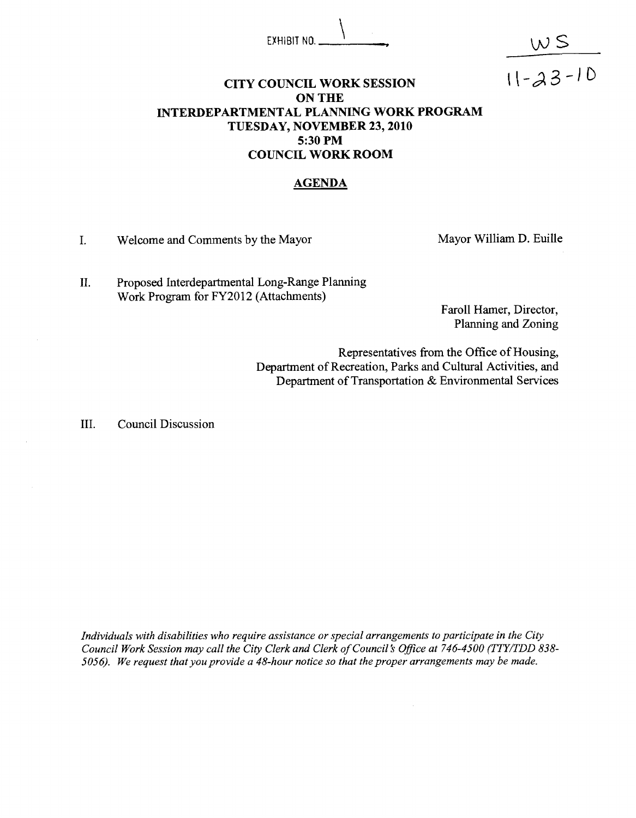## EXHIBIT NO.  $\frac{1}{\sqrt{S}}$

#### **CITY COUNCIL WORK SESSION**  $11-\lambda3-10$ **ON THE INTERDEPARTMENTAL PLANNING WORK PROGRAM TUESDAY, NOVEMBER 23,2010 5:30 PM COUNCIL WORK ROOM**

#### **AGENDA**

I. Welcome and Comments by the Mayor Mayor Mayor William D. Euille

11. Proposed Interdepartmental Long-Range Planning Work Program for FY2012 (Attachments)

> Faroll Hamer, Director, Planning and Zoning

Representatives from the Office of Housing, Department of Recreation, Parks and Cultural Activities, and Department of Transportation & Environmental Services

111. Council Discussion

*Individuals with disabilities who require assistance or special arrangements to participate in the City Council Work Session may call the City Clerk and Clerk of Council's Oflce at 746-4500 (TTY/TDD 838- 5056). We request that you provide a 48-hour notice so that the proper arrangements may be made.*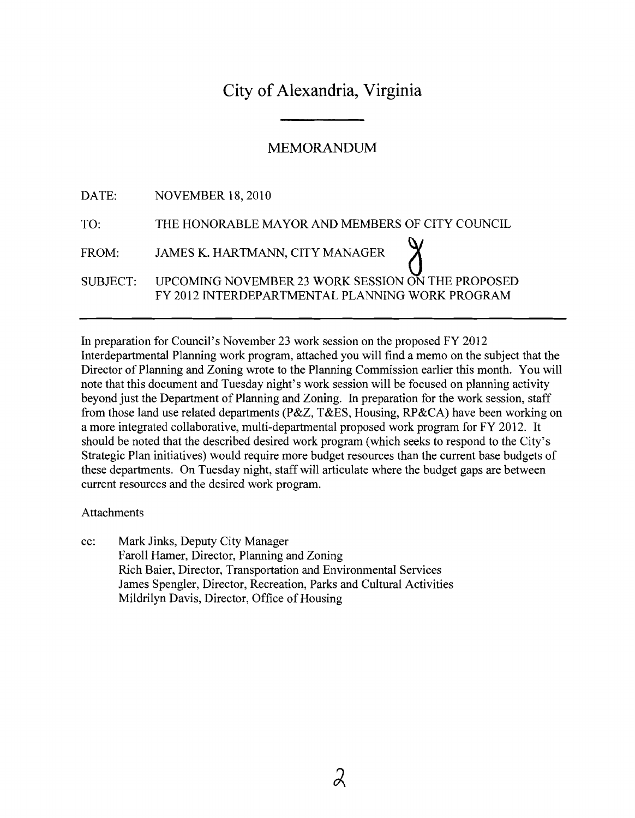### City of Alexandria, Virginia

#### MEMORANDUM

|                 | DATE: NOVEMBER 18, 2010                                                                              |
|-----------------|------------------------------------------------------------------------------------------------------|
| TO:             | THE HONORABLE MAYOR AND MEMBERS OF CITY COUNCIL                                                      |
| FROM:           | JAMES K. HARTMANN, CITY MANAGER                                                                      |
| <b>SUBJECT:</b> | UPCOMING NOVEMBER 23 WORK SESSION ON THE PROPOSED<br>FY 2012 INTERDEPARTMENTAL PLANNING WORK PROGRAM |
|                 |                                                                                                      |

In preparation for Council's November 23 work session on the proposed FY 2012 Interdepartmental Planning work program, attached you will find a memo on the subject that the Director of Planning and Zoning wrote to the Planning Commission earlier this month. You will note that this document and Tuesday night's work session will be focused on planning activity beyond just the Department of Planning and Zoning. In preparation for the work session, staff fiom those land use related departments (P&Z, T&ES, Housing, RP&CA) have been working on a more integrated collaborative, multi-departmental proposed work program for FY 2012. It should be noted that the described desired work program (which seeks to respond to the City's Strategic Plan initiatives) would require more budget resources than the current base budgets of these departments. On Tuesday night, staff will articulate where the budget gaps are between current resources and the desired work program.

#### Attachments

cc: Mark Jinks, Deputy City Manager Faroll Hamer, Director, Planning and Zoning Rich Baier, Director, Transportation and Environmental Services James Spengler, Director, Recreation, Parks and Cultural Activities Mildrilyn Davis, Director, Office of Housing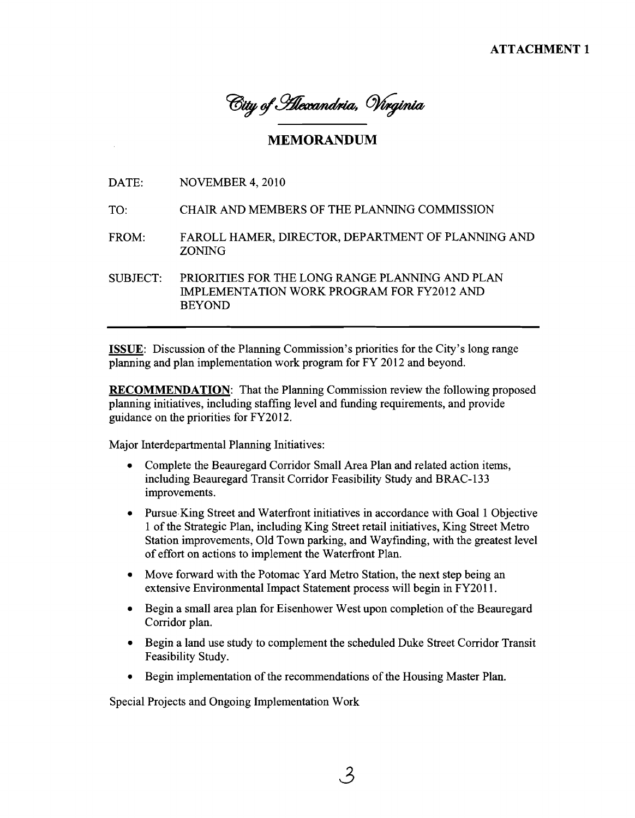City of Silexandria, Virginia

#### **MEMORANDUM**

DATE: NOVEMBER 4, 2010

- TO: CHAIR AND MEMBERS OF THE PLANNING COMMISSION
- FROM: FAROLL HAMER, DIRECTOR, DEPARTMENT OF PLANNING AND ZONING

SUBJECT: PRIORITIES FOR THE LONG RANGE PLANNING AND PLAN IMPLEMENTATION WORK PROGRAM FOR FY2012 AND BEYOND

ISSUE: Discussion of the Planning Commission's priorities for the City's long range planning and plan implementation work program for FY 2012 and beyond.

RECOMMENDATION: That the Planning Commission review the following proposed planning initiatives, including staffing level and fimding requirements, and provide guidance on the priorities for FY2012.

Major Interdepartmental Planning Initiatives:

- Complete the Beauregard Corridor Small Area Plan and related action items, including Beauregard Transit Corridor Feasibility Study and BRAC-133 improvements.
- Pursue.King Street and Waterfront initiatives in accordance with Goal 1 Objective 1 of the Strategic Plan, including King Street retail initiatives, King Street Metro Station improvements, Old Town parking, and Wayfinding, with the greatest level of effort on actions to implement the Waterfront Plan.
- Move forward with the Potomac Yard Metro Station, the next step being an extensive Environmental Impact Statement process will begin in FY2011.
- Begin a small area plan for Eisenhower West upon completion of the Beauregard Corridor plan.
- Begin a land use study to complement the scheduled Duke Street Corridor Transit Feasibility Study.
- Begin implementation of the recommendations of the Housing Master Plan.

Special Projects and Ongoing Implementation Work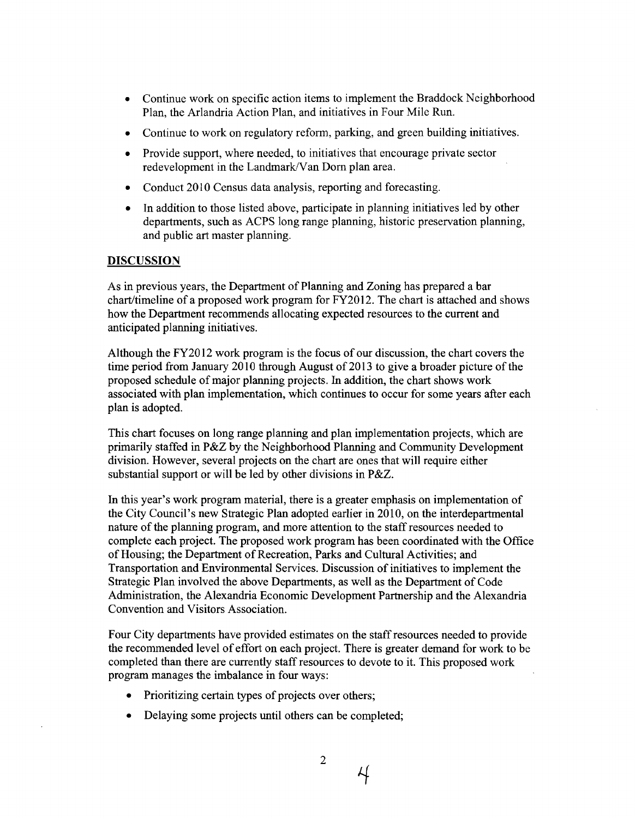- **<sup>a</sup>**Continue work on specific action items to implement the Braddock Neighborhood Plan, the Arlandria Action Plan, and initiatives in Four Mile Run.
- Continue to work on regulatory reform, parking, and green building initiatives.
- Provide support, where needed, to initiatives that encourage private sector redevelopment in the Landmark/Van Dorn plan area.
- Conduct 2010 Census data analysis, reporting and forecasting.  $\bullet$
- In addition to those listed above, participate in planning initiatives led by other  $\bullet$ departments, such as ACPS long range planning, historic preservation planning, and public art master planning.

#### **DISCUSSION**

As in previous years, the Department of Planning and Zoning has prepared a bar  $chart$  timeline of a proposed work program for  $FY2012$ . The chart is attached and shows how the Department recommends allocating expected resources to the current and anticipated planning initiatives.

Although the FY20 12 work program is the focus of our discussion, the chart covers the time period from January 2010 through August of 2013 to give a broader picture of the proposed schedule of major planning projects. In addition, the chart shows work associated with plan implementation, which continues to occur for some years after each plan is adopted.

This chart focuses on long range planning and plan implementation projects, which are primarily staffed in P&Z by the Neighborhood Planning and Community Development division. However, several projects on the chart are ones that will require either substantial support or will be led by other divisions in P&Z.

In this year's work program material, there is a greater emphasis on implementation of the City Council's new Strategic Plan adopted earlier in 2010, on the interdepartmental nature of the planning program, and more attention to the staff resources needed to complete each project. The proposed work program has been coordinated with the Office of Housing; the Department of Recreation, Parks and Cultural Activities; and Transportation and Environmental Services. Discussion of initiatives to implement the Strategic Plan involved the above Departments, as well as the Department of Code Administration, the Alexandria Economic Development Partnership and the Alexandria Convention and Visitors Association.

Four City departments have provided estimates on the staff resources needed to provide the recommended level of effort on each project. There is greater demand for work to be completed than there are currently staff resources to devote to it. This proposed work program manages the imbalance in four ways:

- Prioritizing certain types of projects over others;  $\bullet$
- Delaying some projects until others can be completed;

4

 $\overline{2}$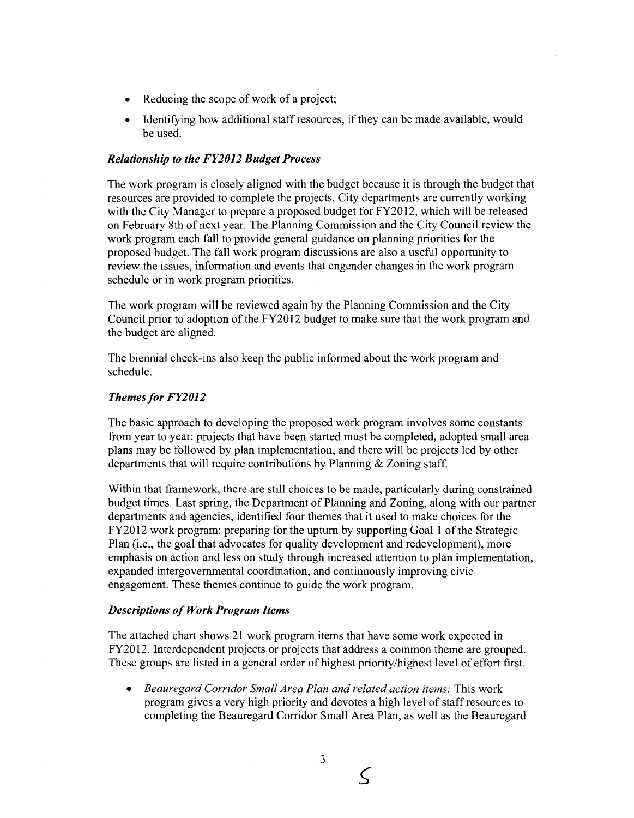- Reducing the scope of work of a project;
- Identifying how additional staff resources, if they can be made available, would be used.

#### *Relationship to the FY2012 Budget Process*

The work program is closely aligned with the budget because it is through the budget that resources are provided to complete the projects. City departments are currently working with the City Manager to prepare a proposed budget for FY2012, which will be released on February 8th of next year. The Planning Commission and the City Council review the work program each fall to provide general guidance on planning priorities for the proposed budget. The fall work program discussions are also a useful opportunity to review the issues, information and events that engender changes in the work program schedule or in work program priorities.

The work program will be reviewed again by the Planning Commission and the City Council prior to adoption of the FY2012 budget to make sure that the work program and the budget are aligned.

The biennial check-ins also keep the public informed about the work program and schedule.

#### *Themes for FY2012*

The basic approach to developing the proposed work program involves some constants from year to year: projects that have been started must be completed, adopted small area plans may be followed by plan implementation, and there will be projects led by other departments that will require contributions by Planning & Zoning staff.

Within that framework, there are still choices to be made, particularly during constrained budget times. Last spring, the Department of Planning and Zoning, along with our partner departments and agencies, identified four themes that it used to make choices for the FY2012 work program: preparing for the upturn by supporting Goal 1 of the Strategic Plan (i.e., the goal that advocates for quality development and redevelopment), more emphasis on action and less on study through increased attention to plan implementation, expanded intergovernmental coordination. and continuously improving civic engagement. These themes continue to guide the work program.

#### *Descriptions of Work Program Items*

The attached chart shows 21 work program items that have some work expected in FY2012. Interdependent projects or projects that address a common theme are grouped. These groups are listed in a general order of highest priority/highest level of effort first.

*Beauregard Corridor Small Area Plan and related action items:* This work program gives a very high priority and devotes a high level of staff resources to completing the Beauregard Corridor Small Area Plan, as well as the Beauregard

3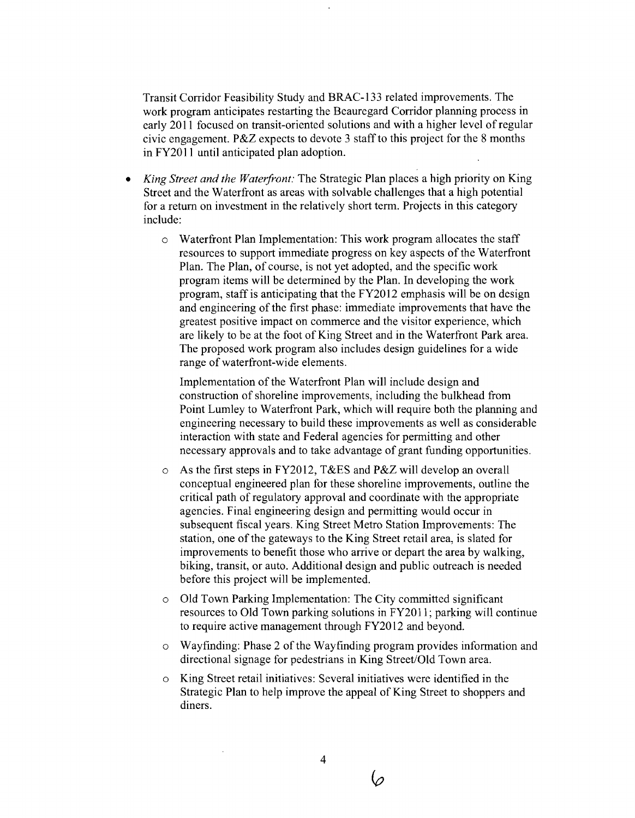Transit Corridor Feasibility Study and BRAC-133 related improvements. The work program anticipates restarting the Beauregard Corridor planning process in early 2011 focused on transit-oriented solutions and with a higher level of regular civic engagement. P&Z expects to devote 3 staff to this project for the 8 months in FY2011 until anticipated plan adoption.

- *King Street and the Waterfont:* The Strategic Plan places a high priority on King Street and the Waterfront as areas with solvable challenges that a high potential for a return on investment in the relatively short term. Projects in this category include:
	- o Waterfront Plan Implementation: This work program allocates the staff resources to support immediate progress on key aspects of the Waterfront Plan. The Plan, of course, is not yet adopted, and the specific work program items will be determined by the Plan. In developing the work program, staff is anticipating that the FY2012 emphasis will be on design and engineering of the first phase: immediate improvements that have the greatest positive impact on commerce and the visitor experience, which are likely to be at the foot of King Street and in the Waterfront Park area. The proposed work program also includes design guidelines for a wide range of waterfront-wide elements.

Implementation of the Waterfront Plan will include design and construction of shoreline improvements, including the bulkhead from Point Lumley to Waterfront Park, which will require both the planning and engineering necessary to build these improvements as well as considerable interaction with state and Federal agencies for permitting and other necessary approvals and to take advantage of grant hnding opportunities.

- As the first steps in FY2012, T&ES and P&Z will develop an overall conceptual engineered plan for these shoreline improvements, outline the critical path of regulatory approval and coordinate with the appropriate agencies. Final engineering design and permitting would occur in subsequent fiscal years. King Street Metro Station Improvements: The station, one of the gateways to the King Street retail area, is slated for improvements to benefit those who arrive or depart the area by walking, biking, transit, or auto. Additional design and public outreach is needed before this project will be implemented.
- o Old Town Parking Implementation: The City committed significant resources to Old Town parking solutions in FY2011; parking will continue to require active management through FY20 12 and beyond.
- o Wayfinding: Phase 2 of the Wayfinding program provides information and directional signage for pedestrians in King Street/Old Town area.
- o King Street retail initiatives: Several initiatives were identified in the Strategic Plan to help improve the appeal of King Street to shoppers and diners.

 $\wp$ 

 $\overline{4}$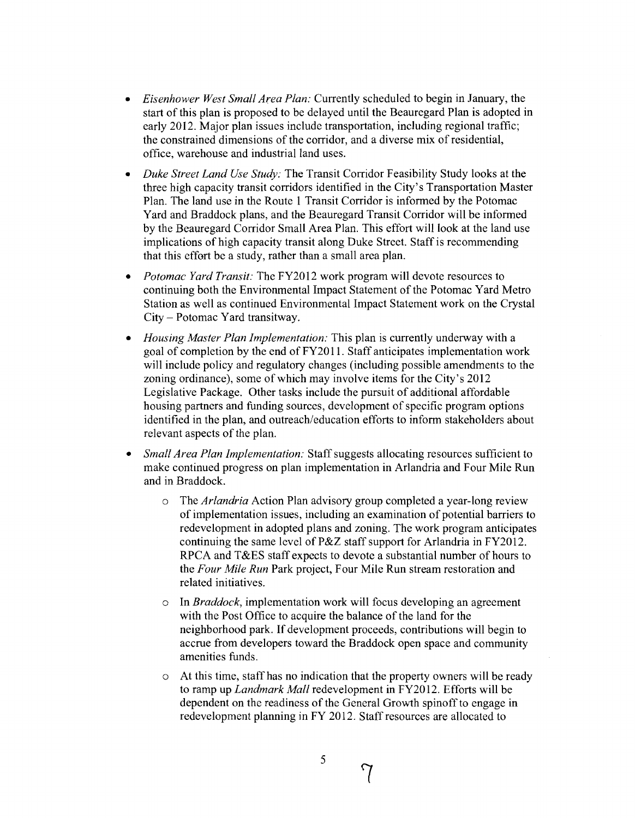- *Eisenhower West Small Area Plan:* Currently scheduled to begin in January, the start of this plan is proposed to be delayed until the Beauregard Plan is adopted in early 2012. Major plan issues include transportation, including regional traffic; the constrained dimensions of the corridor, and a diverse mix of residential, office, warehouse and industrial land uses.
- *Duke Street Land Use Study:* The Transit Corridor Feasibility Study looks at the  $\bullet$ three high capacity transit corridors identified in the City's Transportation Master Plan. The land use in the Route 1 Transit Corridor is informed by the Potomac Yard and Braddock plans, and the Beauregard Transit Corridor will be informed by the Beauregard Corridor Small Area Plan. This effort will look at the land use implications of high capacity transit along Duke Street. Staff is recommending that this effort be a study, rather than a small area plan.
- *Potomac Yard Transit:* The FY2012 work program will devote resources to continuing both the Environmental Impact Statement of the Potomac Yard Metro Station as well as continued Environmental Impact Statement work on the Crystal City - Potomac Yard transitway.
- *Housing Master Plan Implementation:* This plan is currently underway with a goal of completion by the end of FY2011. Staff anticipates implementation work will include policy and regulatory changes (including possible amendments to the zoning ordinance), some of which may involve items for the City's 2012 Legislative Package. Other tasks include the pursuit of additional affordable housing partners and funding sources, development of specific program options identified in the plan, and outreach/education efforts to inform stakeholders about relevant aspects of the plan.
- *Small Area Plan Implementation:* Staff suggests allocating resources sufficient to make continued progress on plan implementation in Arlandria and Four Mile Run and in Braddock.
	- o The *Arlandria* Action Plan advisory group completed a year-long review of implementation issues, including an examination of potential barriers to redevelopment in adopted plans and zoning. The work program anticipates continuing the same level of P&Z staff support for Arlandria in FY2012. RPCA and T&ES staff expects to devote a substantial number of hours to the *Four Mile Run* Park project, Four Mile Run stream restoration and related initiatives.
	- In *Braddock*, implementation work will focus developing an agreement with the Post Office to acquire the balance of the land for the neighborhood park. If development proceeds, contributions will begin to accrue from developers toward the Braddock open space and community amenities funds.
	- At this time, staff has no indication that the property owners will be ready to ramp up *Landmark Mall* redevelopment in FY2012. Efforts will be dependent on the readiness of the General Growth spinoff to engage in redevelopment planning in FY 2012. Staff resources are allocated to

5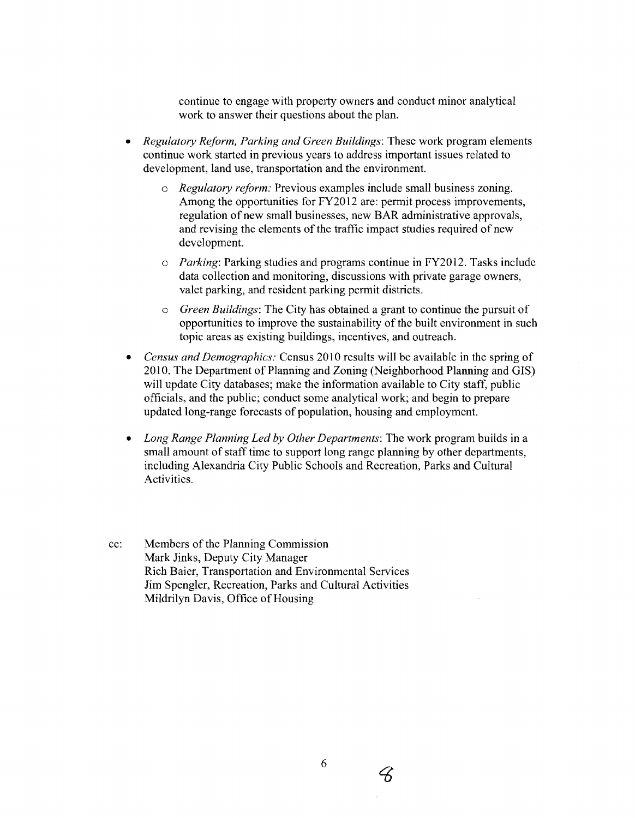continue to engage with property owners and conduct minor analytical work to answer their questions about the plan.

- *Regulatory Reform, Parking and Green Buildings:* These work program elements continue work started in previous years to address important issues related to development, land use, transportation and the environment.
	- *o Regulatory reform:* Previous examples include small business zoning. Among the opportunities for FY2012 are: permit process improvements, regulation of new small businesses, new BAR administrative approvals, and revising the elements of the traffic impact studies required of new development.
	- *o Parking:* Parking studies and programs continue in FY2012. Tasks include data collection and monitoring, discussions with private garage owners, valet parking, and resident parking permit districts.
	- o *Green Buildings:* The City has obtained a grant to continue the pursuit of opportunities to improve the sustainability of the built environment in such topic areas as existing buildings, incentives, and outreach.
- *Census and Demographics:* Census 2010 results will be available in the spring of 2010. The Department of Planning and Zoning (Neighborhood Planning and GIS) will update City databases; make the information available to City staff, public officials, and the public; conduct some analytical work; and begin to prepare updated long-range forecasts of population, housing and employment.
- *Long Range Planning Led by Other Departments:* The work program builds in a small amount of staff time to support long range planning by other departments, including Alexandria City Public Schools and Recreation, Parks and Cultural Activities.
- cc: Members of the Planning Commission Mark Jinks, Deputy City Manager Rich Baier, Transportation and Environmental Services Jim Spengler, Recreation, Parks and Cultural Activities Mildrilyn Davis, Office of Housing

 $\measuredangle$ 

6